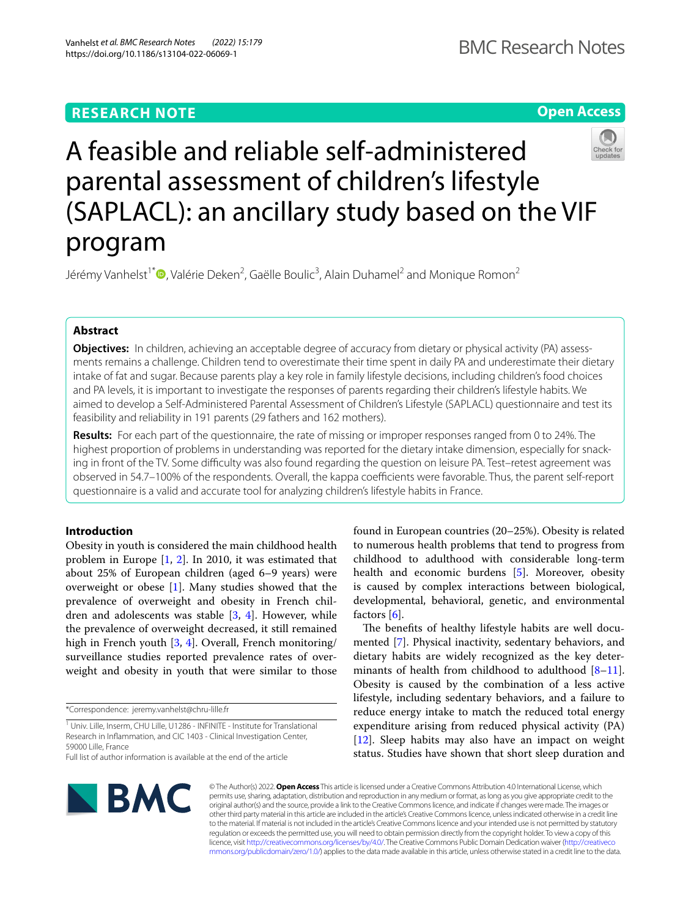# **RESEARCH NOTE**

**Open Access**

# A feasible and reliable self-administered parental assessment of children's lifestyle (SAPLACL): an ancillary study based on the VIF program

Jérémy Vanhelst<sup>1[\\*](http://orcid.org/0000-0002-0570-1522)</sup>®, Valérie Deken<sup>2</sup>, Gaëlle Boulic<sup>3</sup>, Alain Duhamel<sup>2</sup> and Monique Romon<sup>2</sup>

# **Abstract**

**Objectives:** In children, achieving an acceptable degree of accuracy from dietary or physical activity (PA) assessments remains a challenge. Children tend to overestimate their time spent in daily PA and underestimate their dietary intake of fat and sugar. Because parents play a key role in family lifestyle decisions, including children's food choices and PA levels, it is important to investigate the responses of parents regarding their children's lifestyle habits. We aimed to develop a Self-Administered Parental Assessment of Children's Lifestyle (SAPLACL) questionnaire and test its feasibility and reliability in 191 parents (29 fathers and 162 mothers).

**Results:** For each part of the questionnaire, the rate of missing or improper responses ranged from 0 to 24%. The highest proportion of problems in understanding was reported for the dietary intake dimension, especially for snacking in front of the TV. Some difculty was also found regarding the question on leisure PA. Test–retest agreement was observed in 54.7–100% of the respondents. Overall, the kappa coefficients were favorable. Thus, the parent self-report questionnaire is a valid and accurate tool for analyzing children's lifestyle habits in France.

# **Introduction**

Obesity in youth is considered the main childhood health problem in Europe [[1,](#page-4-0) [2](#page-4-1)]. In 2010, it was estimated that about 25% of European children (aged 6–9 years) were overweight or obese [[1\]](#page-4-0). Many studies showed that the prevalence of overweight and obesity in French children and adolescents was stable [\[3](#page-4-2), [4\]](#page-4-3). However, while the prevalence of overweight decreased, it still remained high in French youth [\[3,](#page-4-2) [4](#page-4-3)]. Overall, French monitoring/ surveillance studies reported prevalence rates of overweight and obesity in youth that were similar to those

\*Correspondence: jeremy.vanhelst@chru-lille.fr

found in European countries (20–25%). Obesity is related to numerous health problems that tend to progress from childhood to adulthood with considerable long-term health and economic burdens [\[5](#page-4-4)]. Moreover, obesity is caused by complex interactions between biological, developmental, behavioral, genetic, and environmental factors [\[6](#page-4-5)].

The benefits of healthy lifestyle habits are well documented [\[7](#page-4-6)]. Physical inactivity, sedentary behaviors, and dietary habits are widely recognized as the key deter-minants of health from childhood to adulthood [\[8](#page-4-7)[–11](#page-5-0)]. Obesity is caused by the combination of a less active lifestyle, including sedentary behaviors, and a failure to reduce energy intake to match the reduced total energy expenditure arising from reduced physical activity (PA) [[12\]](#page-5-1). Sleep habits may also have an impact on weight status. Studies have shown that short sleep duration and



© The Author(s) 2022. **Open Access** This article is licensed under a Creative Commons Attribution 4.0 International License, which permits use, sharing, adaptation, distribution and reproduction in any medium or format, as long as you give appropriate credit to the original author(s) and the source, provide a link to the Creative Commons licence, and indicate if changes were made. The images or other third party material in this article are included in the article's Creative Commons licence, unless indicated otherwise in a credit line to the material. If material is not included in the article's Creative Commons licence and your intended use is not permitted by statutory regulation or exceeds the permitted use, you will need to obtain permission directly from the copyright holder. To view a copy of this licence, visit [http://creativecommons.org/licenses/by/4.0/.](http://creativecommons.org/licenses/by/4.0/) The Creative Commons Public Domain Dedication waiver ([http://creativeco](http://creativecommons.org/publicdomain/zero/1.0/) [mmons.org/publicdomain/zero/1.0/](http://creativecommons.org/publicdomain/zero/1.0/)) applies to the data made available in this article, unless otherwise stated in a credit line to the data.



<sup>&</sup>lt;sup>1</sup> Univ. Lille, Inserm, CHU Lille, U1286 - INFINITE - Institute for Translational Research in Infammation, and CIC 1403 - Clinical Investigation Center, 59000 Lille, France

Full list of author information is available at the end of the article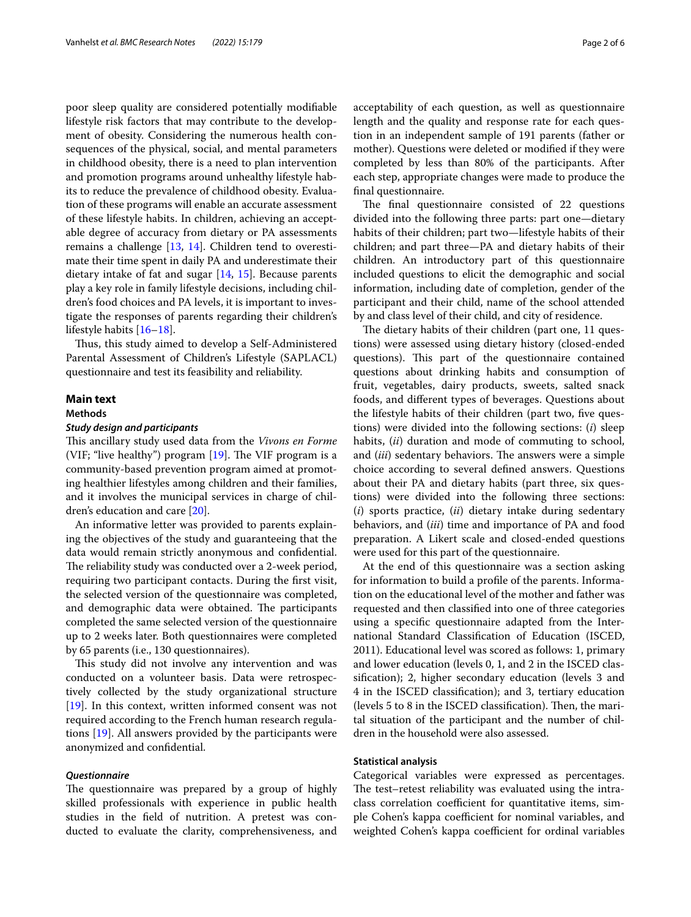poor sleep quality are considered potentially modifable lifestyle risk factors that may contribute to the development of obesity. Considering the numerous health consequences of the physical, social, and mental parameters in childhood obesity, there is a need to plan intervention and promotion programs around unhealthy lifestyle habits to reduce the prevalence of childhood obesity. Evaluation of these programs will enable an accurate assessment of these lifestyle habits. In children, achieving an acceptable degree of accuracy from dietary or PA assessments remains a challenge [\[13](#page-5-2), [14\]](#page-5-3). Children tend to overestimate their time spent in daily PA and underestimate their dietary intake of fat and sugar [[14](#page-5-3), [15\]](#page-5-4). Because parents play a key role in family lifestyle decisions, including children's food choices and PA levels, it is important to investigate the responses of parents regarding their children's lifestyle habits [\[16](#page-5-5)[–18\]](#page-5-6).

Thus, this study aimed to develop a Self-Administered Parental Assessment of Children's Lifestyle (SAPLACL) questionnaire and test its feasibility and reliability.

# **Main text**

# **Methods**

# *Study design and participants*

This ancillary study used data from the *Vivons en Forme* (VIF; "live healthy") program  $[19]$  $[19]$ . The VIF program is a community-based prevention program aimed at promoting healthier lifestyles among children and their families, and it involves the municipal services in charge of children's education and care [[20\]](#page-5-8).

An informative letter was provided to parents explaining the objectives of the study and guaranteeing that the data would remain strictly anonymous and confdential. The reliability study was conducted over a 2-week period, requiring two participant contacts. During the frst visit, the selected version of the questionnaire was completed, and demographic data were obtained. The participants completed the same selected version of the questionnaire up to 2 weeks later. Both questionnaires were completed by 65 parents (i.e., 130 questionnaires).

This study did not involve any intervention and was conducted on a volunteer basis. Data were retrospectively collected by the study organizational structure [[19\]](#page-5-7). In this context, written informed consent was not required according to the French human research regulations [[19\]](#page-5-7). All answers provided by the participants were anonymized and confdential.

### *Questionnaire*

The questionnaire was prepared by a group of highly skilled professionals with experience in public health studies in the feld of nutrition. A pretest was conducted to evaluate the clarity, comprehensiveness, and acceptability of each question, as well as questionnaire length and the quality and response rate for each question in an independent sample of 191 parents (father or mother). Questions were deleted or modifed if they were completed by less than 80% of the participants. After each step, appropriate changes were made to produce the fnal questionnaire.

The final questionnaire consisted of 22 questions divided into the following three parts: part one—dietary habits of their children; part two—lifestyle habits of their children; and part three—PA and dietary habits of their children. An introductory part of this questionnaire included questions to elicit the demographic and social information, including date of completion, gender of the participant and their child, name of the school attended by and class level of their child, and city of residence.

The dietary habits of their children (part one, 11 questions) were assessed using dietary history (closed-ended questions). This part of the questionnaire contained questions about drinking habits and consumption of fruit, vegetables, dairy products, sweets, salted snack foods, and diferent types of beverages. Questions about the lifestyle habits of their children (part two, fve questions) were divided into the following sections: (*i*) sleep habits, (*ii*) duration and mode of commuting to school, and (*iii*) sedentary behaviors. The answers were a simple choice according to several defned answers. Questions about their PA and dietary habits (part three, six questions) were divided into the following three sections: (*i*) sports practice, (*ii*) dietary intake during sedentary behaviors, and (*iii*) time and importance of PA and food preparation. A Likert scale and closed-ended questions were used for this part of the questionnaire.

At the end of this questionnaire was a section asking for information to build a profle of the parents. Information on the educational level of the mother and father was requested and then classifed into one of three categories using a specifc questionnaire adapted from the International Standard Classifcation of Education (ISCED, 2011). Educational level was scored as follows: 1, primary and lower education (levels 0, 1, and 2 in the ISCED classifcation); 2, higher secondary education (levels 3 and 4 in the ISCED classifcation); and 3, tertiary education  $(levels 5 to 8 in the ISCED classification).$  Then, the marital situation of the participant and the number of children in the household were also assessed.

# **Statistical analysis**

Categorical variables were expressed as percentages. The test-retest reliability was evaluated using the intraclass correlation coefficient for quantitative items, simple Cohen's kappa coefficient for nominal variables, and weighted Cohen's kappa coefficient for ordinal variables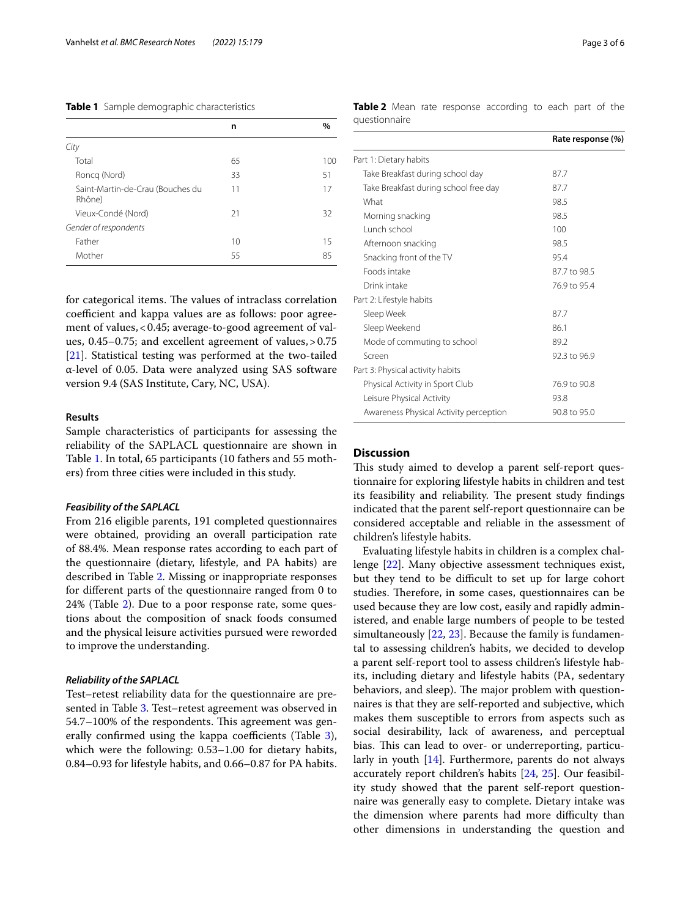<span id="page-2-0"></span>**Table 1** Sample demographic characteristics

|                                            | n  | $\%$ |
|--------------------------------------------|----|------|
| City                                       |    |      |
| Total                                      | 65 | 100  |
| Roncg (Nord)                               | 33 | 51   |
| Saint-Martin-de-Crau (Bouches du<br>Rhône) | 11 | 17   |
| Vieux-Condé (Nord)                         | 21 | 32   |
| Gender of respondents                      |    |      |
| Father                                     | 10 | 15   |
| Mother                                     | 55 | 85   |
|                                            |    |      |

for categorical items. The values of intraclass correlation coefficient and kappa values are as follows: poor agreement of values,<0.45; average-to-good agreement of values, 0.45–0.75; and excellent agreement of values,>0.75 [[21\]](#page-5-9). Statistical testing was performed at the two-tailed α-level of 0.05. Data were analyzed using SAS software version 9.4 (SAS Institute, Cary, NC, USA).

# **Results**

Sample characteristics of participants for assessing the reliability of the SAPLACL questionnaire are shown in Table [1](#page-2-0). In total, 65 participants (10 fathers and 55 mothers) from three cities were included in this study.

#### *Feasibility of the SAPLACL*

From 216 eligible parents, 191 completed questionnaires were obtained, providing an overall participation rate of 88.4%. Mean response rates according to each part of the questionnaire (dietary, lifestyle, and PA habits) are described in Table [2](#page-2-1). Missing or inappropriate responses for diferent parts of the questionnaire ranged from 0 to 24% (Table [2\)](#page-2-1). Due to a poor response rate, some questions about the composition of snack foods consumed and the physical leisure activities pursued were reworded to improve the understanding.

#### *Reliability of the SAPLACL*

Test–retest reliability data for the questionnaire are presented in Table [3](#page-3-0). Test–retest agreement was observed in 54.7–100% of the respondents. This agreement was generally confirmed using the kappa coefficients (Table  $3$ ), which were the following: 0.53–1.00 for dietary habits, 0.84–0.93 for lifestyle habits, and 0.66–0.87 for PA habits. <span id="page-2-1"></span>**Table 2** Mean rate response according to each part of the questionnaire

|                                        | Rate response (%) |
|----------------------------------------|-------------------|
| Part 1: Dietary habits                 |                   |
| Take Breakfast during school day       | 87.7              |
| Take Breakfast during school free day  | 87.7              |
| What                                   | 98.5              |
| Morning snacking                       | 98.5              |
| Lunch school                           | 100               |
| Afternoon snacking                     | 98.5              |
| Snacking front of the TV               | 95.4              |
| Foods intake                           | 87.7 to 98.5      |
| Drink intake                           | 76.9 to 95.4      |
| Part 2: Lifestyle habits               |                   |
| Sleep Week                             | 87.7              |
| Sleep Weekend                          | 86.1              |
| Mode of commuting to school            | 89.2              |
| Screen                                 | 92.3 to 96.9      |
| Part 3: Physical activity habits       |                   |
| Physical Activity in Sport Club        | 76.9 to 90.8      |
| Leisure Physical Activity              | 93.8              |
| Awareness Physical Activity perception | 90.8 to 95.0      |

# **Discussion**

This study aimed to develop a parent self-report questionnaire for exploring lifestyle habits in children and test its feasibility and reliability. The present study findings indicated that the parent self-report questionnaire can be considered acceptable and reliable in the assessment of children's lifestyle habits.

Evaluating lifestyle habits in children is a complex challenge [\[22](#page-5-10)]. Many objective assessment techniques exist, but they tend to be difficult to set up for large cohort studies. Therefore, in some cases, questionnaires can be used because they are low cost, easily and rapidly administered, and enable large numbers of people to be tested simultaneously  $[22, 23]$  $[22, 23]$  $[22, 23]$ . Because the family is fundamental to assessing children's habits, we decided to develop a parent self-report tool to assess children's lifestyle habits, including dietary and lifestyle habits (PA, sedentary behaviors, and sleep). The major problem with questionnaires is that they are self-reported and subjective, which makes them susceptible to errors from aspects such as social desirability, lack of awareness, and perceptual bias. This can lead to over- or underreporting, particularly in youth [[14](#page-5-3)]. Furthermore, parents do not always accurately report children's habits [[24,](#page-5-12) [25](#page-5-13)]. Our feasibility study showed that the parent self-report questionnaire was generally easy to complete. Dietary intake was the dimension where parents had more difficulty than other dimensions in understanding the question and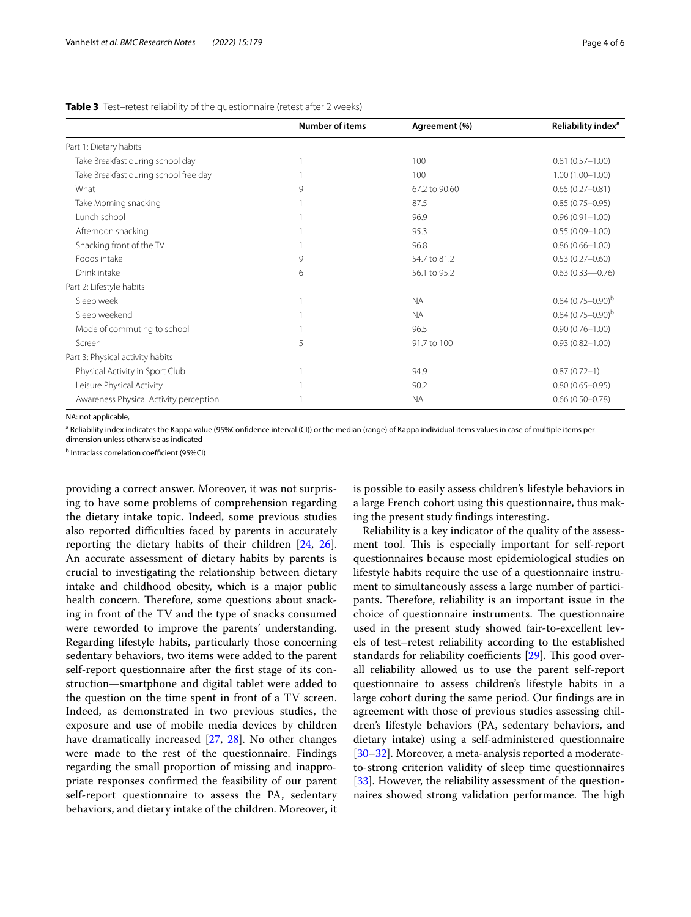# **Number of items Agreement (%) Reliability index**<sup>a</sup> Part 1: Dietary habits Take Breakfast during school day 1 100 0.81 (0.57–1.00) Take Breakfast during school free day 1 100 1.00 (1.00–1.00) What 8 67.2 to 90.60 0.65 (0.27–0.81) 9 67.2 to 90.60 67.2 to 90.60 0.65 (0.27–0.81) Take Morning snacking 1 87.5 0.85 (0.75–0.95) Lunch school 1 96.9 0.96 (0.91–1.00) Afternoon snacking 1 1 95.3 0.55 (0.09–1.00) Snacking front of the TV 1 0.86 (0.66–1.00) 1 96.8 0.86 (0.66–1.00) Foods intake 9 54.7 to 81.2 0.53 (0.27–0.60) Drink intake 6 56.1 to 95.2 0.63 (0.33—0.76) Part 2: Lifestyle habits Sleep week  $1$  and the set of the set of the set of the  $\sim 1$  NA  $0.84\left(0.75-0.90\right)^5$ Sleep weekend 1 NA 0.84 (0.75–0.90)b Mode of commuting to school 1 and 1 96.5 0.90 (0.76–1.00) 96.5 0.900 (0.76–1.00) Screen 5 91.7 to 100 0.93 (0.82–1.00) 5 91.7 to 100 0.93 (0.82–1.00) Part 3: Physical activity habits Physical Activity in Sport Club 1 94.9 0.87 (0.72–1) Leisure Physical Activity 1 90.2 0.80 (0.65–0.95) Awareness Physical Activity perception 1 NA 0.66 (0.50–0.78)

# <span id="page-3-0"></span>**Table 3** Test–retest reliability of the questionnaire (retest after 2 weeks)

NA: not applicable,

<sup>a</sup> Reliability index indicates the Kappa value (95%Confidence interval (CI)) or the median (range) of Kappa individual items values in case of multiple items per

dimension unless otherwise as indicated

<sup>b</sup> Intraclass correlation coefficient (95%CI)

providing a correct answer. Moreover, it was not surprising to have some problems of comprehension regarding the dietary intake topic. Indeed, some previous studies also reported difficulties faced by parents in accurately reporting the dietary habits of their children [[24](#page-5-12), [26](#page-5-14)]. An accurate assessment of dietary habits by parents is crucial to investigating the relationship between dietary intake and childhood obesity, which is a major public health concern. Therefore, some questions about snacking in front of the TV and the type of snacks consumed were reworded to improve the parents' understanding. Regarding lifestyle habits, particularly those concerning sedentary behaviors, two items were added to the parent self-report questionnaire after the frst stage of its construction—smartphone and digital tablet were added to the question on the time spent in front of a TV screen. Indeed, as demonstrated in two previous studies, the exposure and use of mobile media devices by children have dramatically increased [\[27,](#page-5-15) [28\]](#page-5-16). No other changes were made to the rest of the questionnaire. Findings regarding the small proportion of missing and inappropriate responses confrmed the feasibility of our parent self-report questionnaire to assess the PA, sedentary behaviors, and dietary intake of the children. Moreover, it is possible to easily assess children's lifestyle behaviors in a large French cohort using this questionnaire, thus making the present study fndings interesting.

Reliability is a key indicator of the quality of the assessment tool. This is especially important for self-report questionnaires because most epidemiological studies on lifestyle habits require the use of a questionnaire instrument to simultaneously assess a large number of participants. Therefore, reliability is an important issue in the choice of questionnaire instruments. The questionnaire used in the present study showed fair-to-excellent levels of test–retest reliability according to the established standards for reliability coefficients  $[29]$  $[29]$  $[29]$ . This good overall reliability allowed us to use the parent self-report questionnaire to assess children's lifestyle habits in a large cohort during the same period. Our fndings are in agreement with those of previous studies assessing children's lifestyle behaviors (PA, sedentary behaviors, and dietary intake) using a self-administered questionnaire [[30–](#page-5-18)[32\]](#page-5-19). Moreover, a meta-analysis reported a moderateto-strong criterion validity of sleep time questionnaires [[33\]](#page-5-20). However, the reliability assessment of the questionnaires showed strong validation performance. The high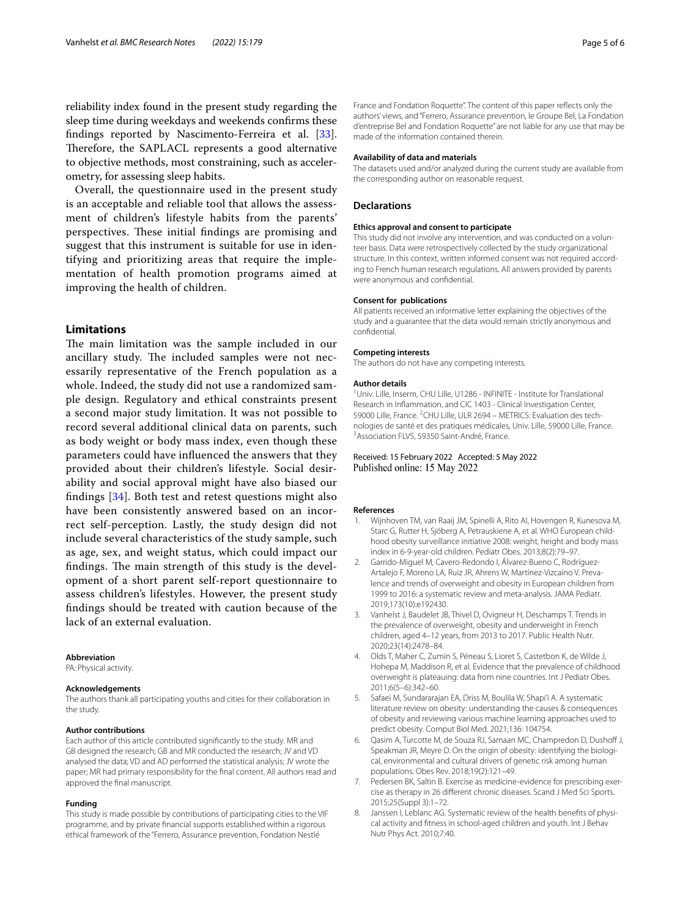reliability index found in the present study regarding the sleep time during weekdays and weekends confrms these fndings reported by Nascimento-Ferreira et al. [\[33](#page-5-20)]. Therefore, the SAPLACL represents a good alternative to objective methods, most constraining, such as accelerometry, for assessing sleep habits.

Overall, the questionnaire used in the present study is an acceptable and reliable tool that allows the assessment of children's lifestyle habits from the parents' perspectives. These initial findings are promising and suggest that this instrument is suitable for use in identifying and prioritizing areas that require the implementation of health promotion programs aimed at improving the health of children.

# **Limitations**

The main limitation was the sample included in our ancillary study. The included samples were not necessarily representative of the French population as a whole. Indeed, the study did not use a randomized sample design. Regulatory and ethical constraints present a second major study limitation. It was not possible to record several additional clinical data on parents, such as body weight or body mass index, even though these parameters could have infuenced the answers that they provided about their children's lifestyle. Social desirability and social approval might have also biased our fndings [[34\]](#page-5-21). Both test and retest questions might also have been consistently answered based on an incorrect self-perception. Lastly, the study design did not include several characteristics of the study sample, such as age, sex, and weight status, which could impact our findings. The main strength of this study is the development of a short parent self-report questionnaire to assess children's lifestyles. However, the present study fndings should be treated with caution because of the lack of an external evaluation.

#### **Abbreviation**

PA: Physical activity.

#### **Acknowledgements**

The authors thank all participating youths and cities for their collaboration in the study.

#### **Author contributions**

Each author of this article contributed signifcantly to the study. MR and GB designed the research; GB and MR conducted the research; JV and VD analysed the data; VD and AD performed the statistical analysis; JV wrote the paper; MR had primary responsibility for the fnal content. All authors read and approved the fnal manuscript.

#### **Funding**

This study is made possible by contributions of participating cities to the VIF programme, and by private fnancial supports established within a rigorous ethical framework of the "Ferrero, Assurance prevention, Fondation Nestlé

France and Fondation Roquette". The content of this paper refects only the authors' views, and "Ferrero, Assurance prevention, le Groupe Bel, La Fondation d'entreprise Bel and Fondation Roquette" are not liable for any use that may be made of the information contained therein.

#### **Availability of data and materials**

The datasets used and/or analyzed during the current study are available from the corresponding author on reasonable request.

#### **Declarations**

# **Ethics approval and consent to participate**

This study did not involve any intervention, and was conducted on a volunteer basis. Data were retrospectively collected by the study organizational structure. In this context, written informed consent was not required according to French human research regulations. All answers provided by parents were anonymous and confdential.

#### **Consent for publications**

All patients received an informative letter explaining the objectives of the study and a guarantee that the data would remain strictly anonymous and confdential.

# **Competing interests**

The authors do not have any competing interests.

#### **Author details**

<sup>1</sup> Univ. Lille, Inserm, CHU Lille, U1286 - INFINITE - Institute for Translational Research in Infammation, and CIC 1403 - Clinical Investigation Center, 59000 Lille, France. <sup>2</sup>CHU Lille, ULR 2694 - METRICS: Evaluation des technologies de santé et des pratiques médicales, Univ. Lille, 59000 Lille, France. 3 <sup>3</sup> Association FLVS, 59350 Saint-André, France.

#### Received: 15 February 2022 Accepted: 5 May 2022 Published online: 15 May 2022

#### **References**

- <span id="page-4-0"></span>1. Wijnhoven TM, van Raaij JM, Spinelli A, Rito AI, Hovengen R, Kunesova M, Starc G, Rutter H, Sjöberg A, Petrauskiene A, et al. WHO European childhood obesity surveillance initiative 2008: weight, height and body mass index in 6-9-year-old children. Pediatr Obes. 2013;8(2):79–97.
- <span id="page-4-1"></span>2. Garrido-Miguel M, Cavero-Redondo I, Álvarez-Bueno C, Rodríguez-Artalejo F, Moreno LA, Ruiz JR, Ahrens W, Martínez-Vizcaíno V. Prevalence and trends of overweight and obesity in European children from 1999 to 2016: a systematic review and meta-analysis. JAMA Pediatr. 2019;173(10):e192430.
- <span id="page-4-2"></span>3. Vanhelst J, Baudelet JB, Thivel D, Ovigneur H, Deschamps T. Trends in the prevalence of overweight, obesity and underweight in French children, aged 4–12 years, from 2013 to 2017. Public Health Nutr. 2020;23(14):2478–84.
- <span id="page-4-3"></span>4. Olds T, Maher C, Zumin S, Péneau S, Lioret S, Castetbon K, de Wilde J, Hohepa M, Maddison R, et al. Evidence that the prevalence of childhood overweight is plateauing: data from nine countries. Int J Pediatr Obes. 2011;6(5–6):342–60.
- <span id="page-4-4"></span>5. Safaei M, Sundararajan EA, Driss M, Boulila W, Shapi'i A. A systematic literature review on obesity: understanding the causes & consequences of obesity and reviewing various machine learning approaches used to predict obesity. Comput Biol Med. 2021;136: 104754.
- <span id="page-4-5"></span>6. Qasim A, Turcotte M, de Souza RJ, Samaan MC, Champredon D, Dushof J, Speakman JR, Meyre D. On the origin of obesity: identifying the biological, environmental and cultural drivers of genetic risk among human populations. Obes Rev. 2018;19(2):121–49.
- <span id="page-4-6"></span>7. Pedersen BK, Saltin B. Exercise as medicine-evidence for prescribing exercise as therapy in 26 diferent chronic diseases. Scand J Med Sci Sports. 2015;25(Suppl 3):1–72.
- <span id="page-4-7"></span>8. Janssen I, Leblanc AG. Systematic review of the health benefts of physical activity and ftness in school-aged children and youth. Int J Behav Nutr Phys Act. 2010;7:40.